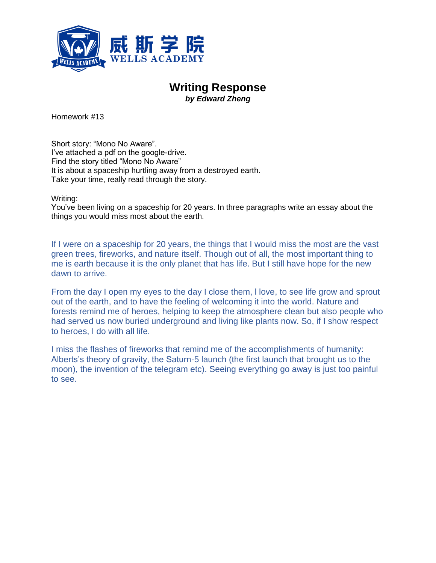

## **Writing Response** *by Edward Zheng*

Homework #13

Short story: "Mono No Aware". I've attached a pdf on the google-drive. Find the story titled "Mono No Aware" It is about a spaceship hurtling away from a destroyed earth. Take your time, really read through the story.

Writing:

You've been living on a spaceship for 20 years. In three paragraphs write an essay about the things you would miss most about the earth.

If I were on a spaceship for 20 years, the things that I would miss the most are the vast green trees, fireworks, and nature itself. Though out of all, the most important thing to me is earth because it is the only planet that has life. But I still have hope for the new dawn to arrive.

From the day I open my eyes to the day I close them, l love, to see life grow and sprout out of the earth, and to have the feeling of welcoming it into the world. Nature and forests remind me of heroes, helping to keep the atmosphere clean but also people who had served us now buried underground and living like plants now. So, if I show respect to heroes, I do with all life.

I miss the flashes of fireworks that remind me of the accomplishments of humanity: Alberts's theory of gravity, the Saturn-5 launch (the first launch that brought us to the moon), the invention of the telegram etc). Seeing everything go away is just too painful to see.